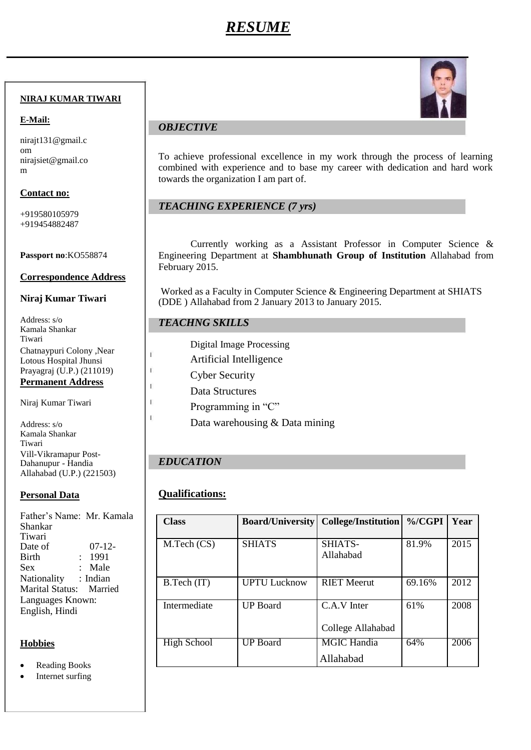# *RESUME*

### **NIRAJ KUMAR TIWARI**

### **E-Mail:**

nirajt131@gmail.c om nirajsiet@gmail.co m

### **Contact no:**

+919580105979 +919454882487

### **Passport no**:KO558874

### **Correspondence Address**

### **Niraj Kumar Tiwari**

Address: s/o Kamala Shankar Tiwari Chatnaypuri Colony ,Near Lotous Hospital Jhunsi Prayagraj (U.P.) (211019) **Permanent Address**

Niraj Kumar Tiwari

Address: s/o Kamala Shankar Tiwari Vill-Vikramapur Post-Dahanupur - Handia Allahabad (U.P.) (221503)

### **Personal Data**

Father's Name: Mr. Kamala Shankar Tiwari Date of 07-12- Birth : 1991 Sex : Male Nationality : Indian Marital Status: Married Languages Known: English, Hindi

# **Hobbies**

- Reading Books
- Internet surfing



# *OBJECTIVE*

To achieve professional excellence in my work through the process of learning combined with experience and to base my career with dedication and hard work towards the organization I am part of.

# *TEACHING EXPERIENCE (7 yrs)*

Currently working as a Assistant Professor in Computer Science & Engineering Department at **Shambhunath Group of Institution** Allahabad from February 2015.

Worked as a Faculty in Computer Science & Engineering Department at SHIATS (DDE ) Allahabad from 2 January 2013 to January 2015.

# *TEACHNG SKILLS*

Digital Image Processing

- Artificial Intelligence
- Cyber Security
- Data Structures
- Programming in "C"
	- Data warehousing & Data mining

# *EDUCATION*

 $\ddot{1}$  $\mathbf{I}$ 

# **Qualifications:**

| <b>Class</b>       | <b>Board/University</b> | <b>College/Institution</b> | $\%$ /CGPI | Year |
|--------------------|-------------------------|----------------------------|------------|------|
| M.Tech (CS)        | <b>SHIATS</b>           | SHIATS-<br>Allahabad       | 81.9%      | 2015 |
| B.Tech (IT)        | <b>UPTU Lucknow</b>     | <b>RIET Meerut</b>         | 69.16%     | 2012 |
| Intermediate       | <b>UP</b> Board         | C.A.V Inter                | 61%        | 2008 |
|                    |                         | College Allahabad          |            |      |
| <b>High School</b> | UP Board                | <b>MGIC Handia</b>         | 64%        | 2006 |
|                    |                         | Allahabad                  |            |      |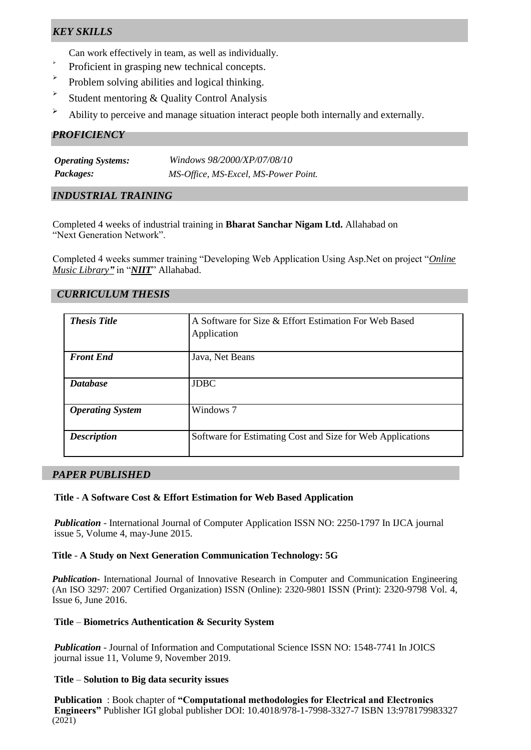# *KEY SKILLS*

Can work effectively in team, as well as individually.

- $\ddot{\phantom{1}}$ Proficient in grasping new technical concepts.
- $\blacktriangleright$ Problem solving abilities and logical thinking.
- $\blacktriangleright$ Student mentoring & Quality Control Analysis
- $\rightarrow$  Ability to perceive and manage situation interact people both internally and externally.

### *PROFICIENCY*

| <b>Operating Systems:</b> | Windows 98/2000/XP/07/08/10          |
|---------------------------|--------------------------------------|
| <i>Packages:</i>          | MS-Office, MS-Excel, MS-Power Point. |

### *INDUSTRIAL TRAINING*

Completed 4 weeks of industrial training in **Bharat Sanchar Nigam Ltd.** Allahabad on "Next Generation Network".

Completed 4 weeks summer training "Developing Web Application Using Asp.Net on project "*Online Music Library"* in "*NIIT*" Allahabad.

### *CURRICULUM THESIS*

| <b>Thesis Title</b>     | A Software for Size & Effort Estimation For Web Based<br>Application |
|-------------------------|----------------------------------------------------------------------|
| <b>Front End</b>        | Java, Net Beans                                                      |
| <b>Database</b>         | <b>JDBC</b>                                                          |
| <b>Operating System</b> | Windows 7                                                            |
| <b>Description</b>      | Software for Estimating Cost and Size for Web Applications           |

### *PAPER PUBLISHED*

### **Title** - **A Software Cost & Effort Estimation for Web Based Application**

*Publication* - International Journal of Computer Application ISSN NO: 2250-1797 In IJCA journal issue 5, Volume 4, may-June 2015.

### **Title** - **A Study on Next Generation Communication Technology: 5G**

*Publication-* International Journal of Innovative Research in Computer and Communication Engineering (An ISO 3297: 2007 Certified Organization) ISSN (Online): 2320-9801 ISSN (Print): 2320-9798 Vol. 4, Issue 6, June 2016.

### **Title** – **Biometrics Authentication & Security System**

*Publication* - Journal of Information and Computational Science ISSN NO: 1548-7741 In JOICS journal issue 11, Volume 9, November 2019.

### **Title** – **Solution to Big data security issues**

**Publication** : Book chapter of **"Computational methodologies for Electrical and Electronics Engineers"** Publisher IGI global publisher DOI: 10.4018/978-1-7998-3327-7 ISBN 13:978179983327  $(2021)$